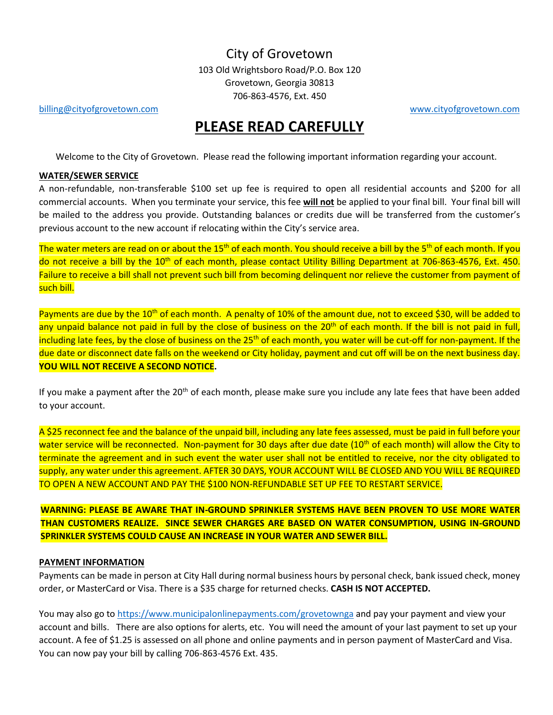## City of Grovetown

103 Old Wrightsboro Road/P.O. Box 120 Grovetown, Georgia 30813 706-863-4576, Ext. 450

[billing@cityofgrovetown.com](mailto:billing@cityofgrovetown.com) [www.cityofgrovetown.com](http://www.cityofgrovetown.com/)

# **PLEASE READ CAREFULLY**

Welcome to the City of Grovetown. Please read the following important information regarding your account.

## **WATER/SEWER SERVICE**

A non-refundable, non-transferable \$100 set up fee is required to open all residential accounts and \$200 for all commercial accounts. When you terminate your service, this fee **will not** be applied to your final bill. Your final bill will be mailed to the address you provide. Outstanding balances or credits due will be transferred from the customer's previous account to the new account if relocating within the City's service area.

The water meters are read on or about the 15<sup>th</sup> of each month. You should receive a bill by the 5<sup>th</sup> of each month. If you do not receive a bill by the 10<sup>th</sup> of each month, please contact Utility Billing Department at 706-863-4576, Ext. 450. Failure to receive a bill shall not prevent such bill from becoming delinquent nor relieve the customer from payment of such bill.

Payments are due by the 10<sup>th</sup> of each month. A penalty of 10% of the amount due, not to exceed \$30, will be added to any unpaid balance not paid in full by the close of business on the 20<sup>th</sup> of each month. If the bill is not paid in full, including late fees, by the close of business on the 25<sup>th</sup> of each month, you water will be cut-off for non-payment. If the due date or disconnect date falls on the weekend or City holiday, payment and cut off will be on the next business day. **YOU WILL NOT RECEIVE A SECOND NOTICE.** 

If you make a payment after the 20<sup>th</sup> of each month, please make sure you include any late fees that have been added to your account.

A \$25 reconnect fee and the balance of the unpaid bill, including any late fees assessed, must be paid in full before your water service will be reconnected. Non-payment for 30 days after due date (10<sup>th</sup> of each month) will allow the City to terminate the agreement and in such event the water user shall not be entitled to receive, nor the city obligated to supply, any water under this agreement. AFTER 30 DAYS, YOUR ACCOUNT WILL BE CLOSED AND YOU WILL BE REQUIRED TO OPEN A NEW ACCOUNT AND PAY THE \$100 NON-REFUNDABLE SET UP FEE TO RESTART SERVICE.

**WARNING: PLEASE BE AWARE THAT IN-GROUND SPRINKLER SYSTEMS HAVE BEEN PROVEN TO USE MORE WATER THAN CUSTOMERS REALIZE. SINCE SEWER CHARGES ARE BASED ON WATER CONSUMPTION, USING IN-GROUND SPRINKLER SYSTEMS COULD CAUSE AN INCREASE IN YOUR WATER AND SEWER BILL.**

#### **PAYMENT INFORMATION**

Payments can be made in person at City Hall during normal business hours by personal check, bank issued check, money order, or MasterCard or Visa. There is a \$35 charge for returned checks. **CASH IS NOT ACCEPTED.**

You may also go to<https://www.municipalonlinepayments.com/grovetownga> and pay your payment and view your account and bills. There are also options for alerts, etc. You will need the amount of your last payment to set up your account. A fee of \$1.25 is assessed on all phone and online payments and in person payment of MasterCard and Visa. You can now pay your bill by calling 706-863-4576 Ext. 435.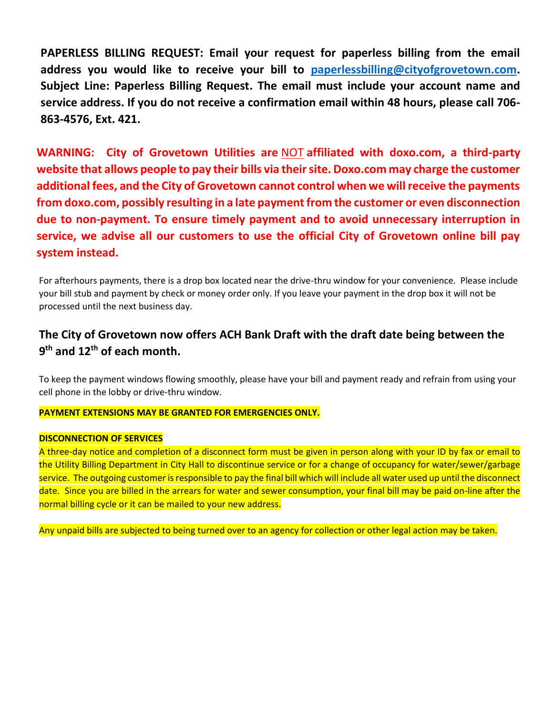**PAPERLESS BILLING REQUEST: Email your request for paperless billing from the email address you would like to receive your bill to [paperlessbilling@cityofgrovetown.com.](mailto:paperlessbilling@cityofgrovetown.com) Subject Line: Paperless Billing Request. The email must include your account name and service address. If you do not receive a confirmation email within 48 hours, please call 706- 863-4576, Ext. 421.** 

**WARNING: City of Grovetown Utilities are** NOT **affiliated with doxo.com, a third-party website that allows people to pay their bills via their site. Doxo.com may charge the customer additional fees, and the City of Grovetown cannot control when we will receive the payments from doxo.com, possibly resulting in a late payment from the customer or even disconnection due to non-payment. To ensure timely payment and to avoid unnecessary interruption in service, we advise all our customers to use the official City of Grovetown online bill pay system instead.**

For afterhours payments, there is a drop box located near the drive-thru window for your convenience. Please include your bill stub and payment by check or money order only. If you leave your payment in the drop box it will not be processed until the next business day.

# **The City of Grovetown now offers ACH Bank Draft with the draft date being between the 9 th and 12th of each month.**

To keep the payment windows flowing smoothly, please have your bill and payment ready and refrain from using your cell phone in the lobby or drive-thru window.

#### **PAYMENT EXTENSIONS MAY BE GRANTED FOR EMERGENCIES ONLY.**

#### **DISCONNECTION OF SERVICES**

A three-day notice and completion of a disconnect form must be given in person along with your ID by fax or email to the Utility Billing Department in City Hall to discontinue service or for a change of occupancy for water/sewer/garbage service. The outgoing customer is responsible to pay the final bill which will include all water used up until the disconnect date. Since you are billed in the arrears for water and sewer consumption, your final bill may be paid on-line after the normal billing cycle or it can be mailed to your new address.

Any unpaid bills are subjected to being turned over to an agency for collection or other legal action may be taken.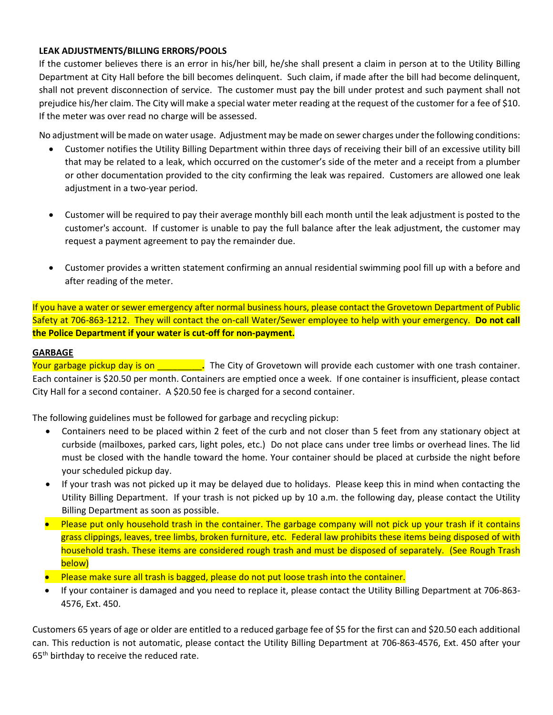## **LEAK ADJUSTMENTS/BILLING ERRORS/POOLS**

If the customer believes there is an error in his/her bill, he/she shall present a claim in person at to the Utility Billing Department at City Hall before the bill becomes delinquent. Such claim, if made after the bill had become delinquent, shall not prevent disconnection of service. The customer must pay the bill under protest and such payment shall not prejudice his/her claim. The City will make a special water meter reading at the request of the customer for a fee of \$10. If the meter was over read no charge will be assessed.

No adjustment will be made on water usage. Adjustment may be made on sewer charges under the following conditions:

- Customer notifies the Utility Billing Department within three days of receiving their bill of an excessive utility bill that may be related to a leak, which occurred on the customer's side of the meter and a receipt from a plumber or other documentation provided to the city confirming the leak was repaired. Customers are allowed one leak adjustment in a two-year period.
- Customer will be required to pay their average monthly bill each month until the leak adjustment is posted to the customer's account. If customer is unable to pay the full balance after the leak adjustment, the customer may request a payment agreement to pay the remainder due.
- Customer provides a written statement confirming an annual residential swimming pool fill up with a before and after reading of the meter.

If you have a water or sewer emergency after normal business hours, please contact the Grovetown Department of Public Safety at 706-863-1212. They will contact the on-call Water/Sewer employee to help with your emergency. **Do not call the Police Department if your water is cut-off for non-payment.**

## **GARBAGE**

Your garbage pickup day is on \_\_\_\_\_\_\_\_\_**.** The City of Grovetown will provide each customer with one trash container. Each container is \$20.50 per month. Containers are emptied once a week. If one container is insufficient, please contact City Hall for a second container. A \$20.50 fee is charged for a second container.

The following guidelines must be followed for garbage and recycling pickup:

- Containers need to be placed within 2 feet of the curb and not closer than 5 feet from any stationary object at curbside (mailboxes, parked cars, light poles, etc.) Do not place cans under tree limbs or overhead lines. The lid must be closed with the handle toward the home. Your container should be placed at curbside the night before your scheduled pickup day.
- If your trash was not picked up it may be delayed due to holidays. Please keep this in mind when contacting the Utility Billing Department. If your trash is not picked up by 10 a.m. the following day, please contact the Utility Billing Department as soon as possible.
- Please put only household trash in the container. The garbage company will not pick up your trash if it contains grass clippings, leaves, tree limbs, broken furniture, etc. Federal law prohibits these items being disposed of with household trash. These items are considered rough trash and must be disposed of separately. (See Rough Trash below)
- Please make sure all trash is bagged, please do not put loose trash into the container.
- If your container is damaged and you need to replace it, please contact the Utility Billing Department at 706-863- 4576, Ext. 450.

Customers 65 years of age or older are entitled to a reduced garbage fee of \$5 for the first can and \$20.50 each additional can. This reduction is not automatic, please contact the Utility Billing Department at 706-863-4576, Ext. 450 after your 65<sup>th</sup> birthday to receive the reduced rate.